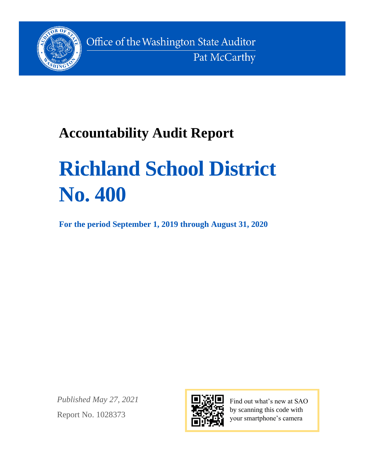

Office of the Washington State Auditor Pat McCarthy

# **Accountability Audit Report**

# **Richland School District No. 400**

**For the period September 1, 2019 through August 31, 2020**

*Published May 27, 2021* Report No. 1028373



Find out what's new at SAO by scanning this code with your smartphone's camera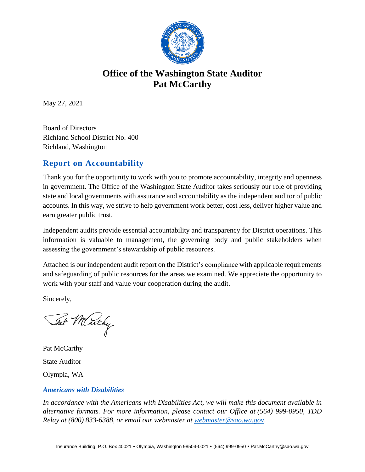

## **Office of the Washington State Auditor Pat McCarthy**

May 27, 2021

Board of Directors Richland School District No. 400 Richland, Washington

#### **Report on Accountability**

Thank you for the opportunity to work with you to promote accountability, integrity and openness in government. The Office of the Washington State Auditor takes seriously our role of providing state and local governments with assurance and accountability as the independent auditor of public accounts. In this way, we strive to help government work better, cost less, deliver higher value and earn greater public trust.

Independent audits provide essential accountability and transparency for District operations. This information is valuable to management, the governing body and public stakeholders when assessing the government's stewardship of public resources.

Attached is our independent audit report on the District's compliance with applicable requirements and safeguarding of public resources for the areas we examined. We appreciate the opportunity to work with your staff and value your cooperation during the audit.

Sincerely,

Tat Muchy

Pat McCarthy State Auditor Olympia, WA

#### *Americans with Disabilities*

*In accordance with the Americans with Disabilities Act, we will make this document available in alternative formats. For more information, please contact our Office at (564) 999-0950, TDD Relay at (800) 833-6388, or email our webmaster at [webmaster@sao.wa.gov](mailto:webmaster@sao.wa.gov)*.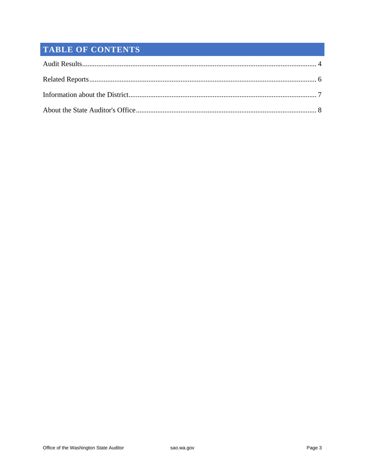### **TABLE OF CONTENTS**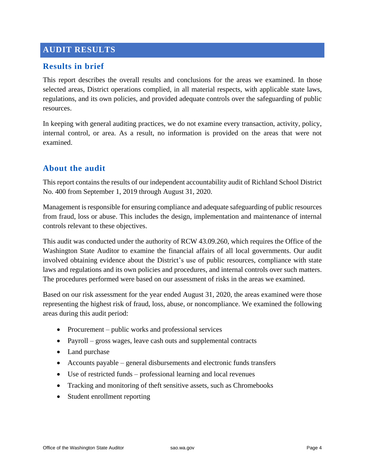#### <span id="page-3-0"></span>**AUDIT RESULTS**

#### **Results in brief**

This report describes the overall results and conclusions for the areas we examined. In those selected areas, District operations complied, in all material respects, with applicable state laws, regulations, and its own policies, and provided adequate controls over the safeguarding of public resources.

In keeping with general auditing practices, we do not examine every transaction, activity, policy, internal control, or area. As a result, no information is provided on the areas that were not examined.

#### **About the audit**

This report contains the results of our independent accountability audit of Richland School District No. 400 from September 1, 2019 through August 31, 2020.

Management is responsible for ensuring compliance and adequate safeguarding of public resources from fraud, loss or abuse. This includes the design, implementation and maintenance of internal controls relevant to these objectives.

This audit was conducted under the authority of RCW 43.09.260, which requires the Office of the Washington State Auditor to examine the financial affairs of all local governments. Our audit involved obtaining evidence about the District's use of public resources, compliance with state laws and regulations and its own policies and procedures, and internal controls over such matters. The procedures performed were based on our assessment of risks in the areas we examined.

Based on our risk assessment for the year ended August 31, 2020, the areas examined were those representing the highest risk of fraud, loss, abuse, or noncompliance. We examined the following areas during this audit period:

- Procurement public works and professional services
- Payroll gross wages, leave cash outs and supplemental contracts
- Land purchase
- Accounts payable general disbursements and electronic funds transfers
- Use of restricted funds professional learning and local revenues
- Tracking and monitoring of theft sensitive assets, such as Chromebooks
- Student enrollment reporting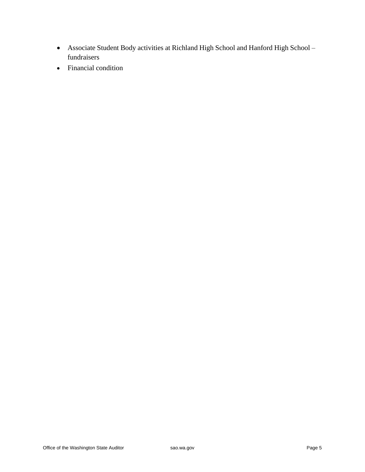- Associate Student Body activities at Richland High School and Hanford High School fundraisers
- Financial condition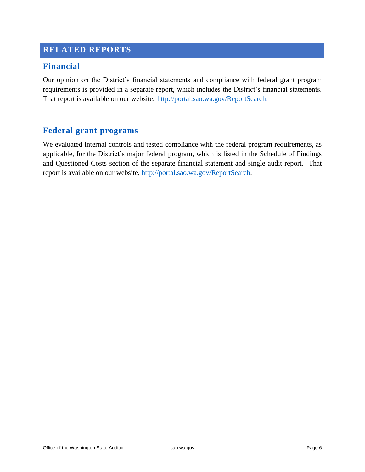#### <span id="page-5-0"></span>**RELATED REPORTS**

#### **Financial**

Our opinion on the District's financial statements and compliance with federal grant program requirements is provided in a separate report, which includes the District's financial statements. That report is available on our website, [http://portal.sao.wa.gov/ReportSearch.](http://portal.sao.wa.gov/ReportSearch/?qItemType=1&qItemDesc=Richland%20School%20District%20No%20400&qItemValue=1821)

#### **Federal grant programs**

We evaluated internal controls and tested compliance with the federal program requirements, as applicable, for the District's major federal program, which is listed in the Schedule of Findings and Questioned Costs section of the separate financial statement and single audit report. That report is available on our website, [http://portal.sao.wa.gov/ReportSearch.](http://portal.sao.wa.gov/ReportSearch/?qItemType=1&qItemDesc=Richland%20School%20District%20No%20400&qItemValue=1821)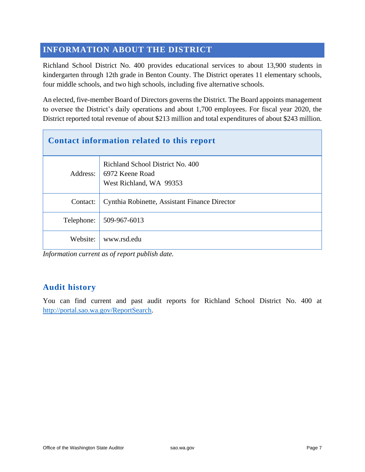#### <span id="page-6-0"></span>**INFORMATION ABOUT THE DISTRICT**

Richland School District No. 400 provides educational services to about 13,900 students in kindergarten through 12th grade in Benton County. The District operates 11 elementary schools, four middle schools, and two high schools, including five alternative schools.

An elected, five-member Board of Directors governs the District. The Board appoints management to oversee the District's daily operations and about 1,700 employees. For fiscal year 2020, the District reported total revenue of about \$213 million and total expenditures of about \$243 million.

| Contact information related to this report |                                                                                |  |
|--------------------------------------------|--------------------------------------------------------------------------------|--|
| Address:                                   | Richland School District No. 400<br>6972 Keene Road<br>West Richland, WA 99353 |  |
| Contact:                                   | Cynthia Robinette, Assistant Finance Director                                  |  |
| Telephone:                                 | 509-967-6013                                                                   |  |
| Website:                                   | www.rsd.edu                                                                    |  |

*Information current as of report publish date.*

#### **Audit history**

You can find current and past audit reports for Richland School District No. 400 at [http://portal.sao.wa.gov/ReportSearch.](http://portal.sao.wa.gov/ReportSearch/?qItemType=1&qItemDesc=Richland%20School%20District%20No%20400&qItemValue=1821)